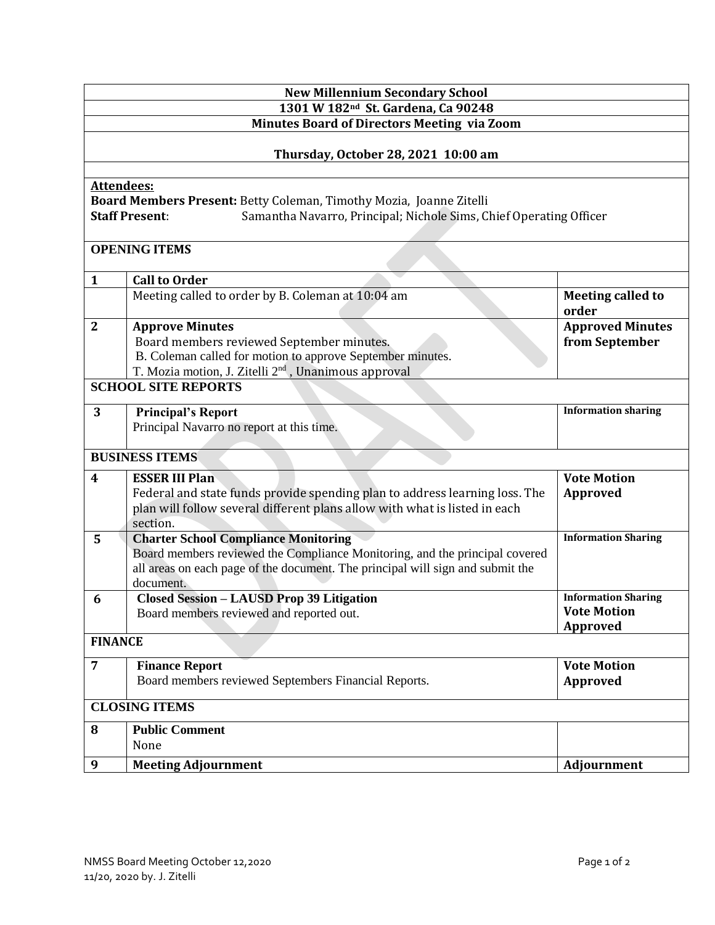| <b>New Millennium Secondary School</b>                                                               |                                                                                                                                                           |                                   |  |                                                                                             |  |  |  |  |
|------------------------------------------------------------------------------------------------------|-----------------------------------------------------------------------------------------------------------------------------------------------------------|-----------------------------------|--|---------------------------------------------------------------------------------------------|--|--|--|--|
| 1301 W 182 <sup>nd</sup> St. Gardena, Ca 90248<br><b>Minutes Board of Directors Meeting via Zoom</b> |                                                                                                                                                           |                                   |  |                                                                                             |  |  |  |  |
| Thursday, October 28, 2021 10:00 am                                                                  |                                                                                                                                                           |                                   |  |                                                                                             |  |  |  |  |
|                                                                                                      |                                                                                                                                                           |                                   |  | <b>Attendees:</b><br>Board Members Present: Betty Coleman, Timothy Mozia, Joanne Zitelli    |  |  |  |  |
|                                                                                                      |                                                                                                                                                           |                                   |  | Samantha Navarro, Principal; Nichole Sims, Chief Operating Officer<br><b>Staff Present:</b> |  |  |  |  |
|                                                                                                      |                                                                                                                                                           |                                   |  |                                                                                             |  |  |  |  |
| <b>OPENING ITEMS</b>                                                                                 |                                                                                                                                                           |                                   |  |                                                                                             |  |  |  |  |
| $\mathbf{1}$                                                                                         | <b>Call to Order</b>                                                                                                                                      |                                   |  |                                                                                             |  |  |  |  |
|                                                                                                      | Meeting called to order by B. Coleman at 10:04 am                                                                                                         | <b>Meeting called to</b><br>order |  |                                                                                             |  |  |  |  |
| $\mathbf{2}$                                                                                         | <b>Approve Minutes</b>                                                                                                                                    | <b>Approved Minutes</b>           |  |                                                                                             |  |  |  |  |
|                                                                                                      | Board members reviewed September minutes.                                                                                                                 | from September                    |  |                                                                                             |  |  |  |  |
|                                                                                                      | B. Coleman called for motion to approve September minutes.<br>T. Mozia motion, J. Zitelli 2 <sup>nd</sup> , Unanimous approval                            |                                   |  |                                                                                             |  |  |  |  |
| <b>SCHOOL SITE REPORTS</b>                                                                           |                                                                                                                                                           |                                   |  |                                                                                             |  |  |  |  |
| 3                                                                                                    | <b>Principal's Report</b>                                                                                                                                 | <b>Information sharing</b>        |  |                                                                                             |  |  |  |  |
|                                                                                                      | Principal Navarro no report at this time.                                                                                                                 |                                   |  |                                                                                             |  |  |  |  |
|                                                                                                      |                                                                                                                                                           |                                   |  |                                                                                             |  |  |  |  |
| <b>BUSINESS ITEMS</b>                                                                                |                                                                                                                                                           |                                   |  |                                                                                             |  |  |  |  |
| $\overline{\mathbf{4}}$                                                                              | <b>ESSER III Plan</b>                                                                                                                                     | <b>Vote Motion</b>                |  |                                                                                             |  |  |  |  |
|                                                                                                      | Federal and state funds provide spending plan to address learning loss. The<br>plan will follow several different plans allow with what is listed in each | Approved                          |  |                                                                                             |  |  |  |  |
|                                                                                                      | section.                                                                                                                                                  |                                   |  |                                                                                             |  |  |  |  |
| 5                                                                                                    | <b>Charter School Compliance Monitoring</b>                                                                                                               | <b>Information Sharing</b>        |  |                                                                                             |  |  |  |  |
|                                                                                                      | Board members reviewed the Compliance Monitoring, and the principal covered                                                                               |                                   |  |                                                                                             |  |  |  |  |
|                                                                                                      | all areas on each page of the document. The principal will sign and submit the<br>document.                                                               |                                   |  |                                                                                             |  |  |  |  |
| 6                                                                                                    | <b>Closed Session - LAUSD Prop 39 Litigation</b>                                                                                                          | <b>Information Sharing</b>        |  |                                                                                             |  |  |  |  |
|                                                                                                      | Board members reviewed and reported out.                                                                                                                  | <b>Vote Motion</b>                |  |                                                                                             |  |  |  |  |
|                                                                                                      |                                                                                                                                                           | Approved                          |  |                                                                                             |  |  |  |  |
| <b>FINANCE</b>                                                                                       |                                                                                                                                                           |                                   |  |                                                                                             |  |  |  |  |
| $\overline{7}$                                                                                       | <b>Finance Report</b>                                                                                                                                     | <b>Vote Motion</b>                |  |                                                                                             |  |  |  |  |
|                                                                                                      | Board members reviewed Septembers Financial Reports.                                                                                                      | <b>Approved</b>                   |  |                                                                                             |  |  |  |  |
| <b>CLOSING ITEMS</b>                                                                                 |                                                                                                                                                           |                                   |  |                                                                                             |  |  |  |  |
| 8                                                                                                    | <b>Public Comment</b>                                                                                                                                     |                                   |  |                                                                                             |  |  |  |  |
|                                                                                                      | None                                                                                                                                                      |                                   |  |                                                                                             |  |  |  |  |
| 9                                                                                                    | <b>Meeting Adjournment</b>                                                                                                                                | Adjournment                       |  |                                                                                             |  |  |  |  |